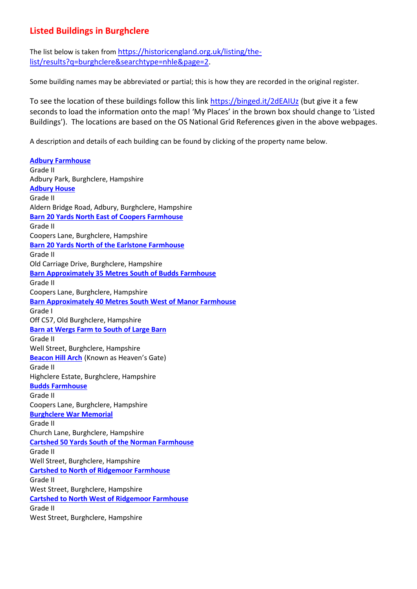## **Listed Buildings in Burghclere**

The list below is taken from [https://historicengland.org.uk/listing/the](https://historicengland.org.uk/listing/the-list/results?q=burghclere&searchtype=nhle&page=2)[list/results?q=burghclere&searchtype=nhle&page=2.](https://historicengland.org.uk/listing/the-list/results?q=burghclere&searchtype=nhle&page=2)

Some building names may be abbreviated or partial; this is how they are recorded in the original register.

To see the location of these buildings follow this link<https://binged.it/2dEAIUz> (but give it a few seconds to load the information onto the map! 'My Places' in the brown box should change to 'Listed Buildings'). The locations are based on the OS National Grid References given in the above webpages.

A description and details of each building can be found by clicking of the property name below.

**[Adbury Farmhouse](https://historicengland.org.uk/listing/the-list/list-entry/1339720)** Grade II Adbury Park, Burghclere, Hampshire **[Adbury House](https://historicengland.org.uk/listing/the-list/list-entry/1092575)** Grade II Aldern Bridge Road, Adbury, Burghclere, Hampshire **[Barn 20 Yards North East of Coopers Farmhouse](https://historicengland.org.uk/listing/the-list/list-entry/1339742)** Grade II Coopers Lane, Burghclere, Hampshire **[Barn 20 Yards North of the Earlstone Farmhouse](https://historicengland.org.uk/listing/the-list/list-entry/1092534)** Grade II Old Carriage Drive, Burghclere, Hampshire **[Barn Approximately 35 Metres South of Budds Farmhouse](https://historicengland.org.uk/listing/the-list/list-entry/1092539)** Grade II Coopers Lane, Burghclere, Hampshire **[Barn Approximately 40 Metres South West of Manor Farmhouse](https://historicengland.org.uk/listing/the-list/list-entry/1157463)** Grade I Off C57, Old Burghclere, Hampshire **[Barn at Wergs Farm to South of Large Barn](https://historicengland.org.uk/listing/the-list/list-entry/1092542)** Grade II Well Street, Burghclere, Hampshire **[Beacon Hill Arch](https://historicengland.org.uk/listing/the-list/list-entry/1105671)** (Known as Heaven's Gate) Grade II Highclere Estate, Burghclere, Hampshire **[Budds Farmhouse](https://historicengland.org.uk/listing/the-list/list-entry/1339743)** Grade II Coopers Lane, Burghclere, Hampshire **[Burghclere War Memorial](https://historicengland.org.uk/listing/the-list/list-entry/1393909)** Grade II Church Lane, Burghclere, Hampshire **[Cartshed 50 Yards South of the Norman Farmhouse](https://historicengland.org.uk/listing/the-list/list-entry/1157568)** Grade II Well Street, Burghclere, Hampshire **[Cartshed to North of Ridgemoor Farmhouse](https://historicengland.org.uk/listing/the-list/list-entry/1237914)** Grade II West Street, Burghclere, Hampshire **[Cartshed to North West of Ridgemoor Farmhouse](https://historicengland.org.uk/listing/the-list/list-entry/1105667)** Grade II West Street, Burghclere, Hampshire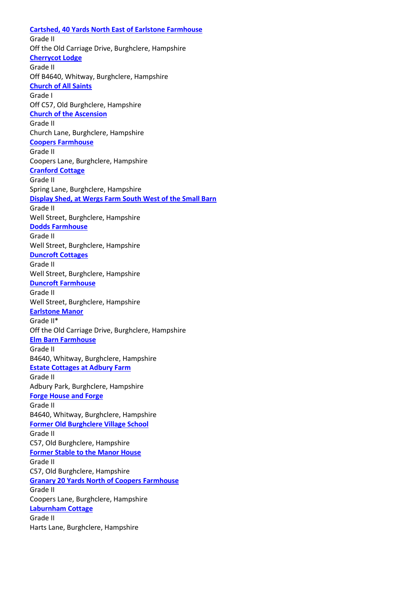**[Cartshed, 40 Yards North East of Earlstone Farmhouse](https://historicengland.org.uk/listing/the-list/list-entry/1339740)** Grade II Off the Old Carriage Drive, Burghclere, Hampshire **[Cherrycot Lodge](https://historicengland.org.uk/listing/the-list/list-entry/1301511)** Grade II Off B4640, Whitway, Burghclere, Hampshire **[Church of All Saints](https://historicengland.org.uk/listing/the-list/list-entry/1157301)** Grade I Off C57, Old Burghclere, Hampshire **[Church of the Ascension](https://historicengland.org.uk/listing/the-list/list-entry/1092577)** Grade II Church Lane, Burghclere, Hampshire **[Coopers Farmhouse](https://historicengland.org.uk/listing/the-list/list-entry/1092537)** Grade II Coopers Lane, Burghclere, Hampshire **[Cranford Cottage](https://historicengland.org.uk/listing/the-list/list-entry/1339747)** Grade II Spring Lane, Burghclere, Hampshire **[Display Shed, at Wergs Farm South West of the Small Barn](https://historicengland.org.uk/listing/the-list/list-entry/1339746)** Grade II Well Street, Burghclere, Hampshire **[Dodds Farmhouse](https://historicengland.org.uk/listing/the-list/list-entry/1157579)** Grade II Well Street, Burghclere, Hampshire **[Duncroft Cottages](https://historicengland.org.uk/listing/the-list/list-entry/1092548)** Grade II Well Street, Burghclere, Hampshire **[Duncroft Farmhouse](https://historicengland.org.uk/listing/the-list/list-entry/1092547)** Grade II Well Street, Burghclere, Hampshire **[Earlstone Manor](https://historicengland.org.uk/listing/the-list/list-entry/1339721)** Grade II\* Off the Old Carriage Drive, Burghclere, Hampshire **Elm [Barn Farmhouse](https://historicengland.org.uk/listing/the-list/list-entry/1157666)** Grade II B4640, Whitway, Burghclere, Hampshire **[Estate Cottages at Adbury Farm](https://historicengland.org.uk/listing/the-list/list-entry/1092576)** Grade II Adbury Park, Burghclere, Hampshire **[Forge House and Forge](https://historicengland.org.uk/listing/the-list/list-entry/1092550)** Grade II B4640, Whitway, Burghclere, Hampshire **[Former Old Burghclere Village School](https://historicengland.org.uk/listing/the-list/list-entry/1390633)** Grade II C57, Old Burghclere, Hampshire **[Former Stable to the Manor House](https://historicengland.org.uk/listing/the-list/list-entry/1157448)** Grade II C57, Old Burghclere, Hampshire **[Granary 20 Yards North of Coopers Farmhouse](https://historicengland.org.uk/listing/the-list/list-entry/1092538)** Grade II Coopers Lane, Burghclere, Hampshire **[Laburnham Cottage](https://historicengland.org.uk/listing/the-list/list-entry/1092536)** Grade II Harts Lane, Burghclere, Hampshire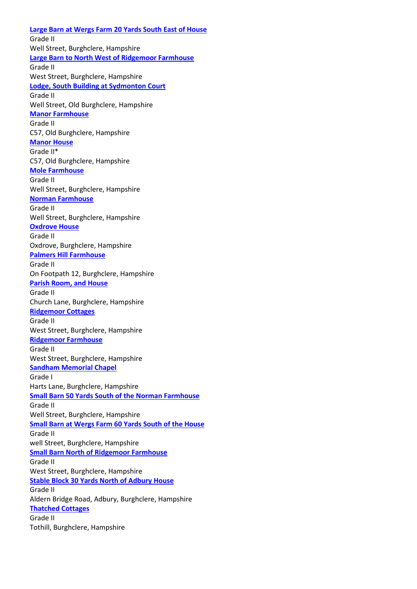**[Large Barn at Wergs Farm 20 Yards South East of House](https://historicengland.org.uk/listing/the-list/list-entry/1301529)** Grade II Well Street, Burghclere, Hampshire **[Large Barn to North West of Ridgemoor Farmhouse](https://historicengland.org.uk/listing/the-list/list-entry/1274454)** Grade II West Street, Burghclere, Hampshire **[Lodge, South Building at Sydmonton Court](https://historicengland.org.uk/listing/the-list/list-entry/1092544)** Grade II Well Street, Old Burghclere, Hampshire **[Manor Farmhouse](https://historicengland.org.uk/listing/the-list/list-entry/1092541)** Grade II C57, Old Burghclere, Hampshire **[Manor House](https://historicengland.org.uk/listing/the-list/list-entry/1092540)** Grade II\* C57, Old Burghclere, Hampshire **[Mole Farmhouse](https://historicengland.org.uk/listing/the-list/list-entry/1157574)** Grade II Well Street, Burghclere, Hampshire **[Norman Farmhouse](https://historicengland.org.uk/listing/the-list/list-entry/1092545)** Grade II Well Street, Burghclere, Hampshire **[Oxdrove House](https://historicengland.org.uk/listing/the-list/list-entry/1157554)** Grade II Oxdrove, Burghclere, Hampshire **[Palmers Hill Farmhouse](https://historicengland.org.uk/listing/the-list/list-entry/1092535)** Grade II On Footpath 12, Burghclere, Hampshire **[Parish Room, and House](https://historicengland.org.uk/listing/the-list/list-entry/1179922)** Grade II Church Lane, Burghclere, Hampshire **[Ridgemoor Cottages](https://historicengland.org.uk/listing/the-list/list-entry/1105669)** Grade II West Street, Burghclere, Hampshire **[Ridgemoor Farmhouse](https://historicengland.org.uk/listing/the-list/list-entry/1237913)** Grade II West Street, Burghclere, Hampshire **[Sandham Memorial Chapel](https://historicengland.org.uk/listing/the-list/list-entry/1339741)** Grade I Harts Lane, Burghclere, Hampshire **[Small Barn 50 Yards South of the Norman Farmhouse](https://historicengland.org.uk/listing/the-list/list-entry/1092546)** Grade II Well Street, Burghclere, Hampshire **[Small Barn at Wergs Farm 60 Yards South of the House](https://historicengland.org.uk/listing/the-list/list-entry/1157539)** Grade II well Street, Burghclere, Hampshire **[Small Barn North of Ridgemoor Farmhouse](https://historicengland.org.uk/listing/the-list/list-entry/1105666)** Grade II West Street, Burghclere, Hampshire **[Stable Block 30 Yards North of Adbury House](https://historicengland.org.uk/listing/the-list/list-entry/1179831)** Grade II Aldern Bridge Road, Adbury, Burghclere, Hampshire **[Thatched Cottages](https://historicengland.org.uk/listing/the-list/list-entry/1157562)** Grade II Tothill, Burghclere, Hampshire